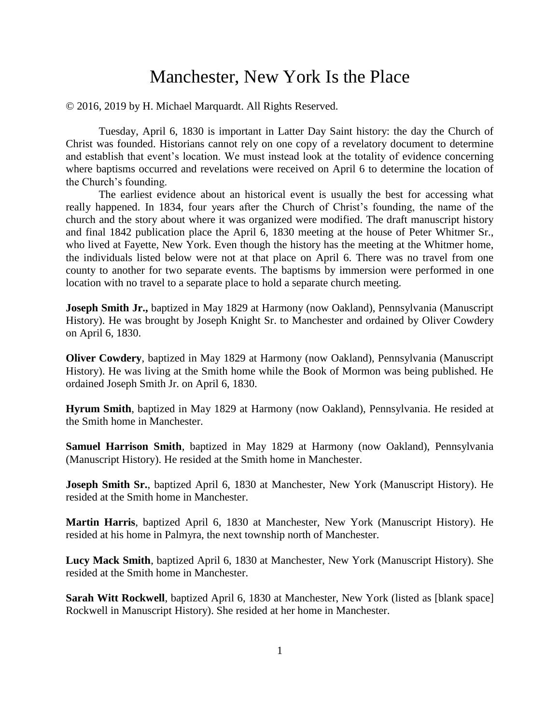# Manchester, New York Is the Place

© 2016, 2019 by H. Michael Marquardt. All Rights Reserved.

Tuesday, April 6, 1830 is important in Latter Day Saint history: the day the Church of Christ was founded. Historians cannot rely on one copy of a revelatory document to determine and establish that event's location. We must instead look at the totality of evidence concerning where baptisms occurred and revelations were received on April 6 to determine the location of the Church's founding.

The earliest evidence about an historical event is usually the best for accessing what really happened. In 1834, four years after the Church of Christ's founding, the name of the church and the story about where it was organized were modified. The draft manuscript history and final 1842 publication place the April 6, 1830 meeting at the house of Peter Whitmer Sr., who lived at Fayette, New York. Even though the history has the meeting at the Whitmer home, the individuals listed below were not at that place on April 6. There was no travel from one county to another for two separate events. The baptisms by immersion were performed in one location with no travel to a separate place to hold a separate church meeting.

**Joseph Smith Jr.,** baptized in May 1829 at Harmony (now Oakland), Pennsylvania (Manuscript History). He was brought by Joseph Knight Sr. to Manchester and ordained by Oliver Cowdery on April 6, 1830.

**Oliver Cowdery**, baptized in May 1829 at Harmony (now Oakland), Pennsylvania (Manuscript History). He was living at the Smith home while the Book of Mormon was being published. He ordained Joseph Smith Jr. on April 6, 1830.

**Hyrum Smith**, baptized in May 1829 at Harmony (now Oakland), Pennsylvania. He resided at the Smith home in Manchester.

**Samuel Harrison Smith**, baptized in May 1829 at Harmony (now Oakland), Pennsylvania (Manuscript History). He resided at the Smith home in Manchester.

**Joseph Smith Sr.**, baptized April 6, 1830 at Manchester, New York (Manuscript History). He resided at the Smith home in Manchester.

**Martin Harris**, baptized April 6, 1830 at Manchester, New York (Manuscript History). He resided at his home in Palmyra, the next township north of Manchester.

**Lucy Mack Smith**, baptized April 6, 1830 at Manchester, New York (Manuscript History). She resided at the Smith home in Manchester.

**Sarah Witt Rockwell**, baptized April 6, 1830 at Manchester, New York (listed as [blank space] Rockwell in Manuscript History). She resided at her home in Manchester.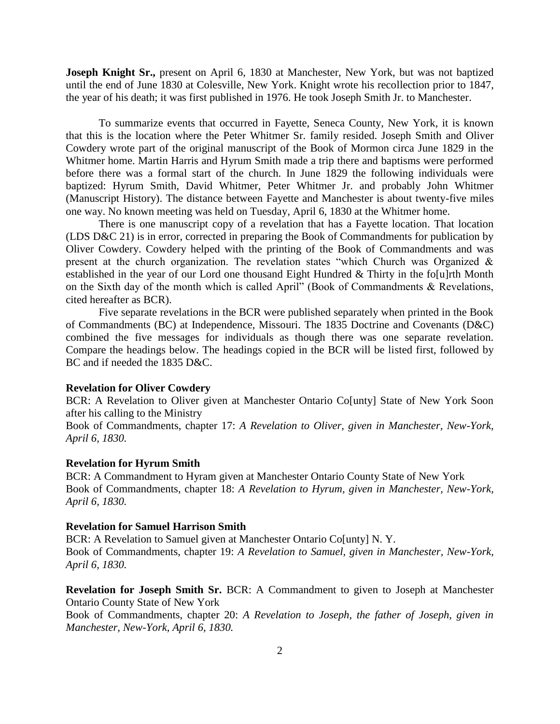**Joseph Knight Sr.,** present on April 6, 1830 at Manchester, New York, but was not baptized until the end of June 1830 at Colesville, New York. Knight wrote his recollection prior to 1847, the year of his death; it was first published in 1976. He took Joseph Smith Jr. to Manchester.

To summarize events that occurred in Fayette, Seneca County, New York, it is known that this is the location where the Peter Whitmer Sr. family resided. Joseph Smith and Oliver Cowdery wrote part of the original manuscript of the Book of Mormon circa June 1829 in the Whitmer home. Martin Harris and Hyrum Smith made a trip there and baptisms were performed before there was a formal start of the church. In June 1829 the following individuals were baptized: Hyrum Smith, David Whitmer, Peter Whitmer Jr. and probably John Whitmer (Manuscript History). The distance between Fayette and Manchester is about twenty-five miles one way. No known meeting was held on Tuesday, April 6, 1830 at the Whitmer home.

There is one manuscript copy of a revelation that has a Fayette location. That location (LDS D&C 21) is in error, corrected in preparing the Book of Commandments for publication by Oliver Cowdery. Cowdery helped with the printing of the Book of Commandments and was present at the church organization. The revelation states "which Church was Organized & established in the year of our Lord one thousand Eight Hundred & Thirty in the fo[u]rth Month on the Sixth day of the month which is called April" (Book of Commandments & Revelations, cited hereafter as BCR).

Five separate revelations in the BCR were published separately when printed in the Book of Commandments (BC) at Independence, Missouri. The 1835 Doctrine and Covenants (D&C) combined the five messages for individuals as though there was one separate revelation. Compare the headings below. The headings copied in the BCR will be listed first, followed by BC and if needed the 1835 D&C.

## **Revelation for Oliver Cowdery**

BCR: A Revelation to Oliver given at Manchester Ontario Co[unty] State of New York Soon after his calling to the Ministry

Book of Commandments, chapter 17: *A Revelation to Oliver, given in Manchester, New-York, April 6, 1830.* 

#### **Revelation for Hyrum Smith**

BCR: A Commandment to Hyram given at Manchester Ontario County State of New York Book of Commandments, chapter 18: *A Revelation to Hyrum, given in Manchester, New-York, April 6, 1830.* 

#### **Revelation for Samuel Harrison Smith**

BCR: A Revelation to Samuel given at Manchester Ontario Co[unty] N.Y. Book of Commandments, chapter 19: *A Revelation to Samuel, given in Manchester, New-York, April 6, 1830.* 

**Revelation for Joseph Smith Sr.** BCR: A Commandment to given to Joseph at Manchester Ontario County State of New York

Book of Commandments, chapter 20: *A Revelation to Joseph, the father of Joseph, given in Manchester, New-York, April 6, 1830.*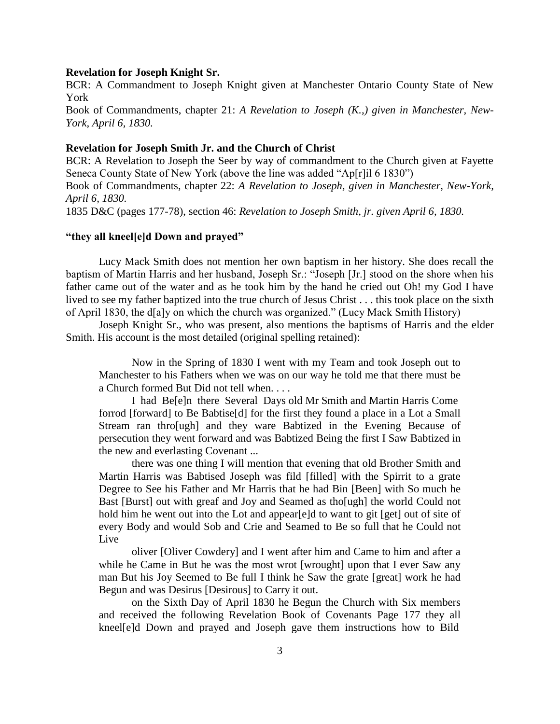### **Revelation for Joseph Knight Sr.**

BCR: A Commandment to Joseph Knight given at Manchester Ontario County State of New York Book of Commandments, chapter 21: *A Revelation to Joseph (K.,) given in Manchester, New-York, April 6, 1830.* 

## **Revelation for Joseph Smith Jr. and the Church of Christ**

BCR: A Revelation to Joseph the Seer by way of commandment to the Church given at Fayette Seneca County State of New York (above the line was added "Ap[r]il 6 1830")

Book of Commandments, chapter 22: *A Revelation to Joseph, given in Manchester, New-York, April 6, 1830.* 

1835 D&C (pages 177-78), section 46: *Revelation to Joseph Smith, jr. given April 6, 1830.*

## **"they all kneel[e]d Down and prayed"**

Lucy Mack Smith does not mention her own baptism in her history. She does recall the baptism of Martin Harris and her husband, Joseph Sr.: "Joseph [Jr.] stood on the shore when his father came out of the water and as he took him by the hand he cried out Oh! my God I have lived to see my father baptized into the true church of Jesus Christ . . . this took place on the sixth of April 1830, the d[a]y on which the church was organized." (Lucy Mack Smith History)

Joseph Knight Sr., who was present, also mentions the baptisms of Harris and the elder Smith. His account is the most detailed (original spelling retained):

Now in the Spring of 1830 I went with my Team and took Joseph out to Manchester to his Fathers when we was on our way he told me that there must be a Church formed But Did not tell when. . . .

I had Be[e]n there Several Days old Mr Smith and Martin Harris Come forrod [forward] to Be Babtise[d] for the first they found a place in a Lot a Small Stream ran thro[ugh] and they ware Babtized in the Evening Because of persecution they went forward and was Babtized Being the first I Saw Babtized in the new and everlasting Covenant ...

there was one thing I will mention that evening that old Brother Smith and Martin Harris was Babtised Joseph was fild [filled] with the Spirrit to a grate Degree to See his Father and Mr Harris that he had Bin [Been] with So much he Bast [Burst] out with greaf and Joy and Seamed as tho[ugh] the world Could not hold him he went out into the Lot and appear[e]d to want to git [get] out of site of every Body and would Sob and Crie and Seamed to Be so full that he Could not Live

oliver [Oliver Cowdery] and I went after him and Came to him and after a while he Came in But he was the most wrot [wrought] upon that I ever Saw any man But his Joy Seemed to Be full I think he Saw the grate [great] work he had Begun and was Desirus [Desirous] to Carry it out.

on the Sixth Day of April 1830 he Begun the Church with Six members and received the following Revelation Book of Covenants Page 177 they all kneel[e]d Down and prayed and Joseph gave them instructions how to Bild